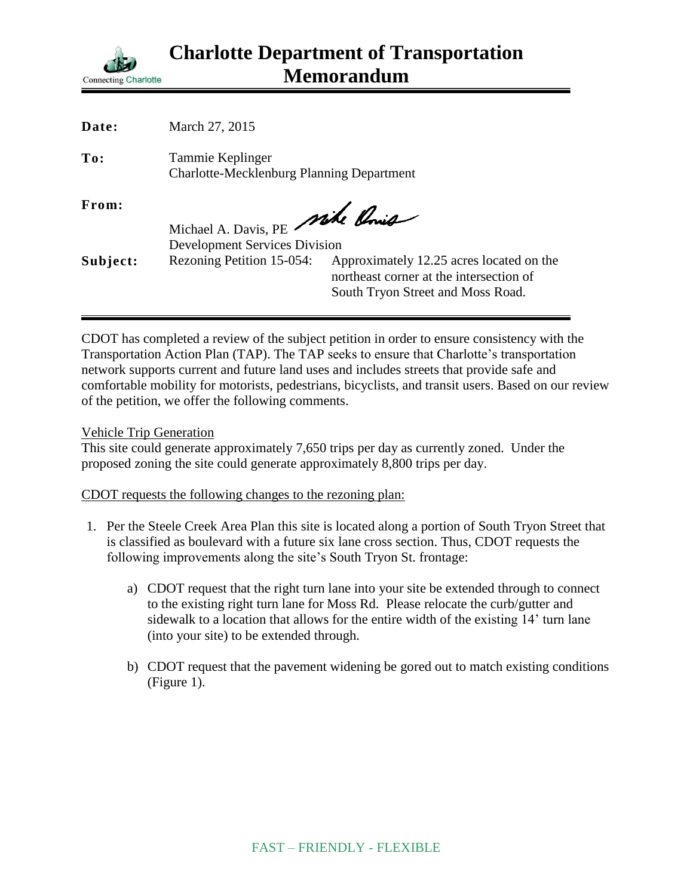

| Date:    | March 27, 2015                                                          |                                                                                                                          |
|----------|-------------------------------------------------------------------------|--------------------------------------------------------------------------------------------------------------------------|
| To:      | Tammie Keplinger<br><b>Charlotte-Mecklenburg Planning Department</b>    |                                                                                                                          |
| From:    | Michael A. Davis, PE Mike Conig<br><b>Development Services Division</b> |                                                                                                                          |
| Subject: | Rezoning Petition 15-054:                                               | Approximately 12.25 acres located on the<br>northeast corner at the intersection of<br>South Tryon Street and Moss Road. |

CDOT has completed a review of the subject petition in order to ensure consistency with the Transportation Action Plan (TAP). The TAP seeks to ensure that Charlotte's transportation network supports current and future land uses and includes streets that provide safe and comfortable mobility for motorists, pedestrians, bicyclists, and transit users. Based on our review of the petition, we offer the following comments.

Vehicle Trip Generation

This site could generate approximately 7,650 trips per day as currently zoned. Under the proposed zoning the site could generate approximately 8,800 trips per day.

CDOT requests the following changes to the rezoning plan:

- 1. Per the Steele Creek Area Plan this site is located along a portion of South Tryon Street that is classified as boulevard with a future six lane cross section. Thus, CDOT requests the following improvements along the site's South Tryon St. frontage:
	- a) CDOT request that the right turn lane into your site be extended through to connect to the existing right turn lane for Moss Rd. Please relocate the curb/gutter and sidewalk to a location that allows for the entire width of the existing 14' turn lane (into your site) to be extended through.
	- b) CDOT request that the pavement widening be gored out to match existing conditions (Figure 1).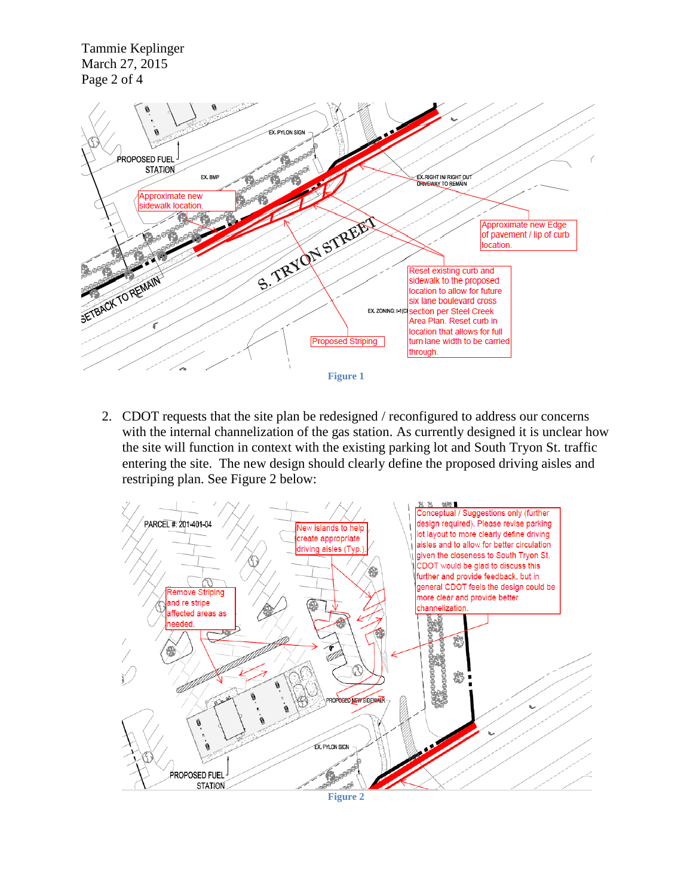Tammie Keplinger March 27, 2015 Page 2 of 4



2. CDOT requests that the site plan be redesigned / reconfigured to address our concerns with the internal channelization of the gas station. As currently designed it is unclear how the site will function in context with the existing parking lot and South Tryon St. traffic entering the site. The new design should clearly define the proposed driving aisles and restriping plan. See Figure 2 below:

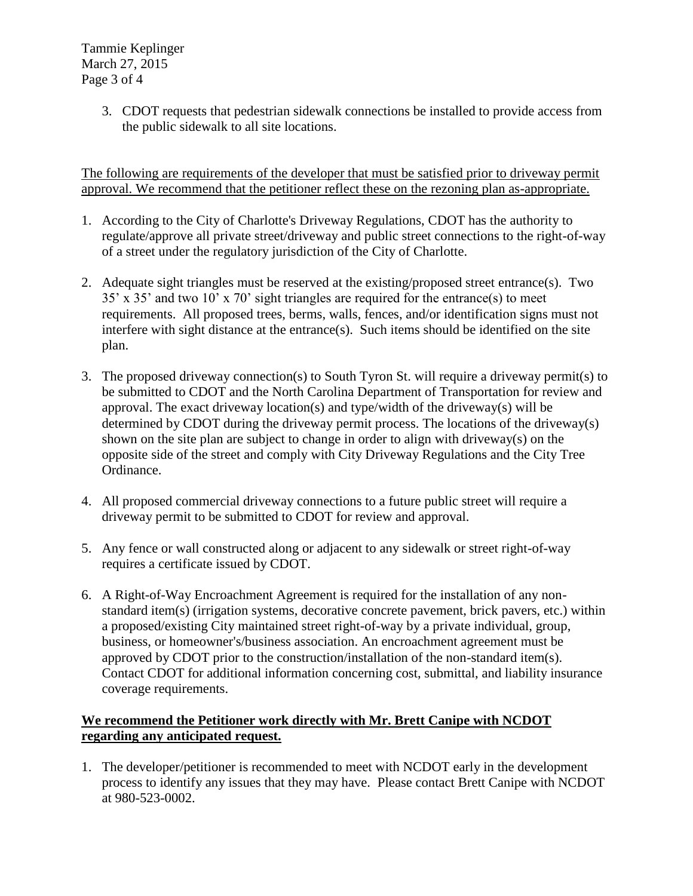Tammie Keplinger March 27, 2015 Page 3 of 4

> 3. CDOT requests that pedestrian sidewalk connections be installed to provide access from the public sidewalk to all site locations.

The following are requirements of the developer that must be satisfied prior to driveway permit approval. We recommend that the petitioner reflect these on the rezoning plan as-appropriate.

- 1. According to the City of Charlotte's Driveway Regulations, CDOT has the authority to regulate/approve all private street/driveway and public street connections to the right-of-way of a street under the regulatory jurisdiction of the City of Charlotte.
- 2. Adequate sight triangles must be reserved at the existing/proposed street entrance(s). Two 35' x 35' and two 10' x 70' sight triangles are required for the entrance(s) to meet requirements. All proposed trees, berms, walls, fences, and/or identification signs must not interfere with sight distance at the entrance(s). Such items should be identified on the site plan.
- 3. The proposed driveway connection(s) to South Tyron St. will require a driveway permit(s) to be submitted to CDOT and the North Carolina Department of Transportation for review and approval. The exact driveway location(s) and type/width of the driveway(s) will be determined by CDOT during the driveway permit process. The locations of the driveway(s) shown on the site plan are subject to change in order to align with driveway(s) on the opposite side of the street and comply with City Driveway Regulations and the City Tree Ordinance.
- 4. All proposed commercial driveway connections to a future public street will require a driveway permit to be submitted to CDOT for review and approval.
- 5. Any fence or wall constructed along or adjacent to any sidewalk or street right-of-way requires a certificate issued by CDOT.
- 6. A Right-of-Way Encroachment Agreement is required for the installation of any nonstandard item(s) (irrigation systems, decorative concrete pavement, brick pavers, etc.) within a proposed/existing City maintained street right-of-way by a private individual, group, business, or homeowner's/business association. An encroachment agreement must be approved by CDOT prior to the construction/installation of the non-standard item(s). Contact CDOT for additional information concerning cost, submittal, and liability insurance coverage requirements.

## **We recommend the Petitioner work directly with Mr. Brett Canipe with NCDOT regarding any anticipated request.**

1. The developer/petitioner is recommended to meet with NCDOT early in the development process to identify any issues that they may have. Please contact Brett Canipe with NCDOT at 980-523-0002.